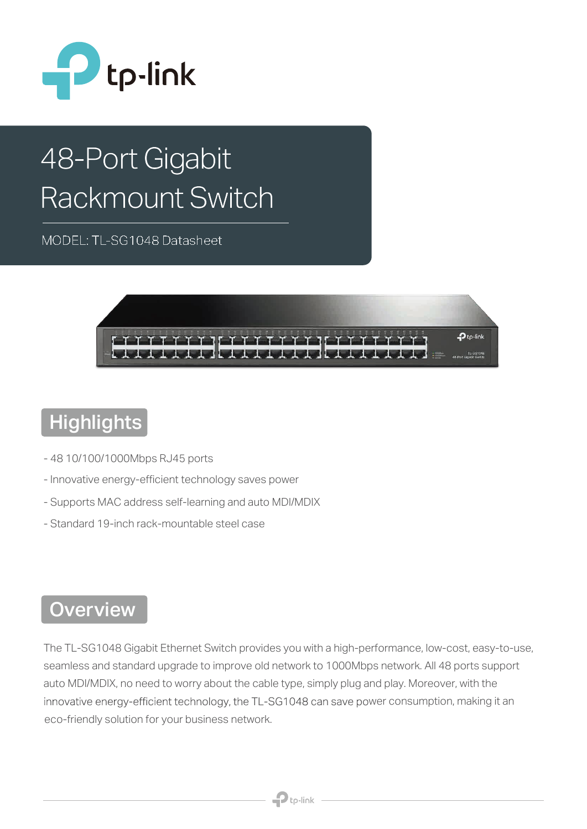

# 48-Port Gigabit Rackmount Switch

MODEL: TL-SG1048 Datasheet



# **Highlights**

- 48 10/100/1000Mbps RJ45 ports
- Innovative energy-efficient technology saves power
- Supports MAC address self-learning and auto MDI/MDIX
- Standard 19-inch rack-mountable steel case

#### **Overview**

The TL-SG1048 Gigabit Ethernet Switch provides you with a high-performance, low-cost, easy-to-use, seamless and standard upgrade to improve old network to 1000Mbps network. All 48 ports support auto MDI/MDIX, no need to worry about the cable type, simply plug and play. Moreover, with the innovative energy-efficient technology, the TL-SG1048 can save power consumption, making it an eco-friendly solution for your business network.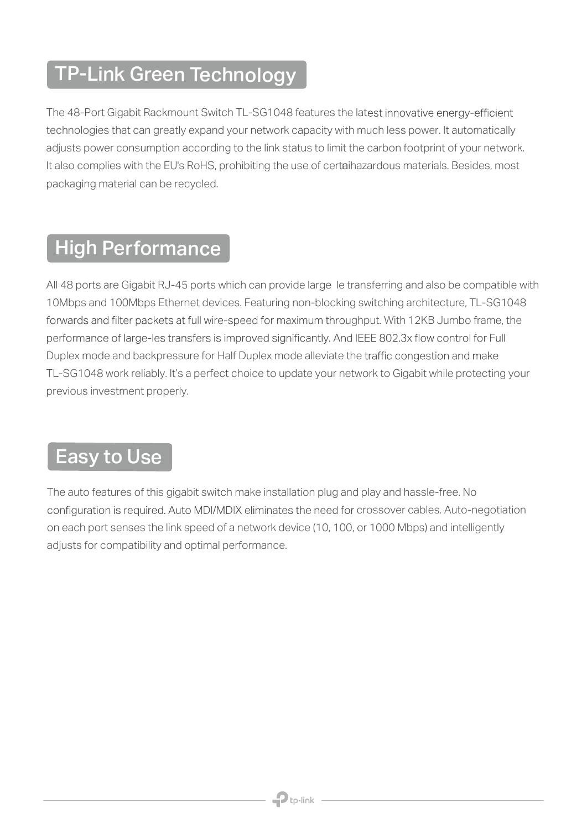## TP-Link Green Technology

The 48-Port Gigabit Rackmount Switch TL-SG1048 features the latest innovative energy-efficient technologies that can greatly expand your network capacity with much less power. It automatically adjusts power consumption according to the link status to limit the carbon footprint of your network. It also complies with the EU's RoHS, prohibiting the use of certai hazardous materials. Besides, most packaging material can be recycled.

### High Performance

All 48 ports are Gigabit RJ-45 ports which can provide large le transferring and also be compatible with 10Mbps and 100Mbps Ethernet devices. Featuring non-blocking switching architecture, TL-SG1048 forwards and filter packets at full wire-speed for maximum throughput. With 12KB Jumbo frame, the performance of large-les transfers is improved significantly. And IEEE 802.3x flow control for Full Duplex mode and backpressure for Half Duplex mode alleviate the traffic congestion and make TL-SG1048 work reliably. It's a perfect choice to update your network to Gigabit while protecting your previous investment properly.

#### Easy to Use

The auto features of this gigabit switch make installation plug and play and hassle-free. No configuration is required. Auto MDI/MDIX eliminates the need for crossover cables. Auto-negotiation on each port senses the link speed of a network device (10, 100, or 1000 Mbps) and intelligently adjusts for compatibility and optimal performance.